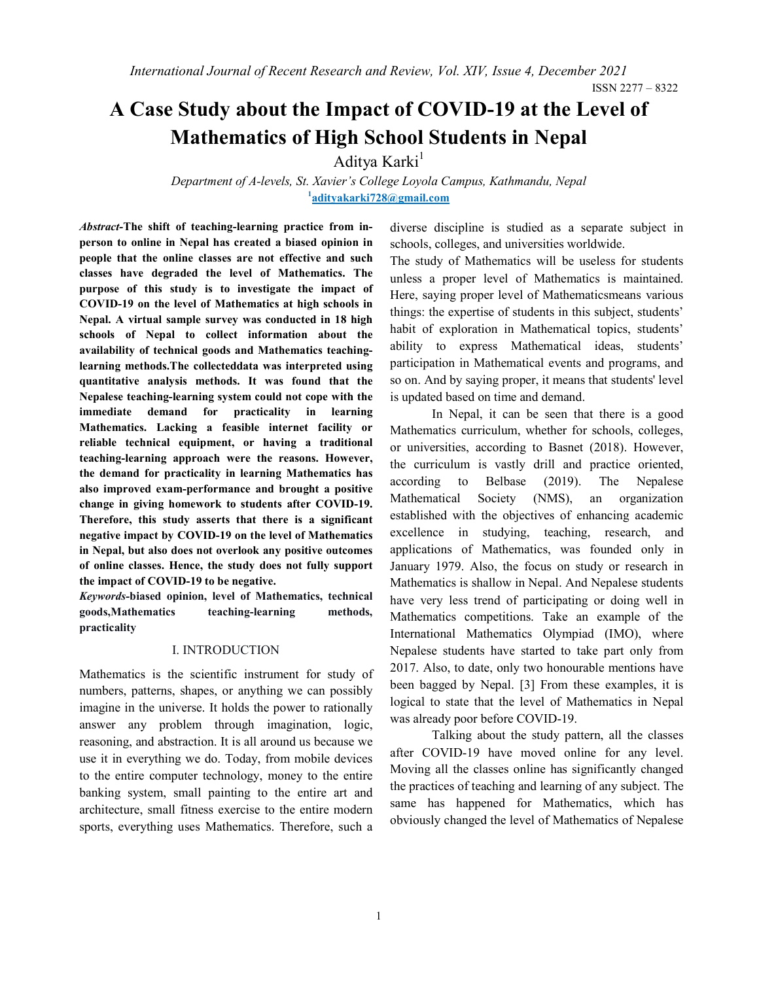ISSN 2277 – 8322

# A Case Study about the Impact of COVID-19 at the Level of Mathematics of High School Students in Nepal

Aditya Karki<sup>1</sup>

Department of A-levels, St. Xavier's College Loyola Campus, Kathmandu, Nepal  $1$ adityakarki728@gmail.com

Abstract-The shift of teaching-learning practice from inperson to online in Nepal has created a biased opinion in people that the online classes are not effective and such classes have degraded the level of Mathematics. The purpose of this study is to investigate the impact of COVID-19 on the level of Mathematics at high schools in Nepal. A virtual sample survey was conducted in 18 high schools of Nepal to collect information about the availability of technical goods and Mathematics teachinglearning methods.The collecteddata was interpreted using quantitative analysis methods. It was found that the Nepalese teaching-learning system could not cope with the immediate demand for practicality in learning Mathematics. Lacking a feasible internet facility or reliable technical equipment, or having a traditional teaching-learning approach were the reasons. However, the demand for practicality in learning Mathematics has also improved exam-performance and brought a positive change in giving homework to students after COVID-19. Therefore, this study asserts that there is a significant negative impact by COVID-19 on the level of Mathematics in Nepal, but also does not overlook any positive outcomes of online classes. Hence, the study does not fully support the impact of COVID-19 to be negative.

Keywords-biased opinion, level of Mathematics, technical goods,Mathematics teaching-learning methods, practicality

#### I. INTRODUCTION

Mathematics is the scientific instrument for study of numbers, patterns, shapes, or anything we can possibly imagine in the universe. It holds the power to rationally answer any problem through imagination, logic, reasoning, and abstraction. It is all around us because we use it in everything we do. Today, from mobile devices to the entire computer technology, money to the entire banking system, small painting to the entire art and architecture, small fitness exercise to the entire modern sports, everything uses Mathematics. Therefore, such a diverse discipline is studied as a separate subject in schools, colleges, and universities worldwide.

The study of Mathematics will be useless for students unless a proper level of Mathematics is maintained. Here, saying proper level of Mathematicsmeans various things: the expertise of students in this subject, students' habit of exploration in Mathematical topics, students' ability to express Mathematical ideas, students' participation in Mathematical events and programs, and so on. And by saying proper, it means that students' level is updated based on time and demand.

In Nepal, it can be seen that there is a good Mathematics curriculum, whether for schools, colleges, or universities, according to Basnet (2018). However, the curriculum is vastly drill and practice oriented, according to Belbase (2019). The Nepalese Mathematical Society (NMS), an organization established with the objectives of enhancing academic excellence in studying, teaching, research, and applications of Mathematics, was founded only in January 1979. Also, the focus on study or research in Mathematics is shallow in Nepal. And Nepalese students have very less trend of participating or doing well in Mathematics competitions. Take an example of the International Mathematics Olympiad (IMO), where Nepalese students have started to take part only from 2017. Also, to date, only two honourable mentions have been bagged by Nepal. [3] From these examples, it is logical to state that the level of Mathematics in Nepal was already poor before COVID-19.

Talking about the study pattern, all the classes after COVID-19 have moved online for any level. Moving all the classes online has significantly changed the practices of teaching and learning of any subject. The same has happened for Mathematics, which has obviously changed the level of Mathematics of Nepalese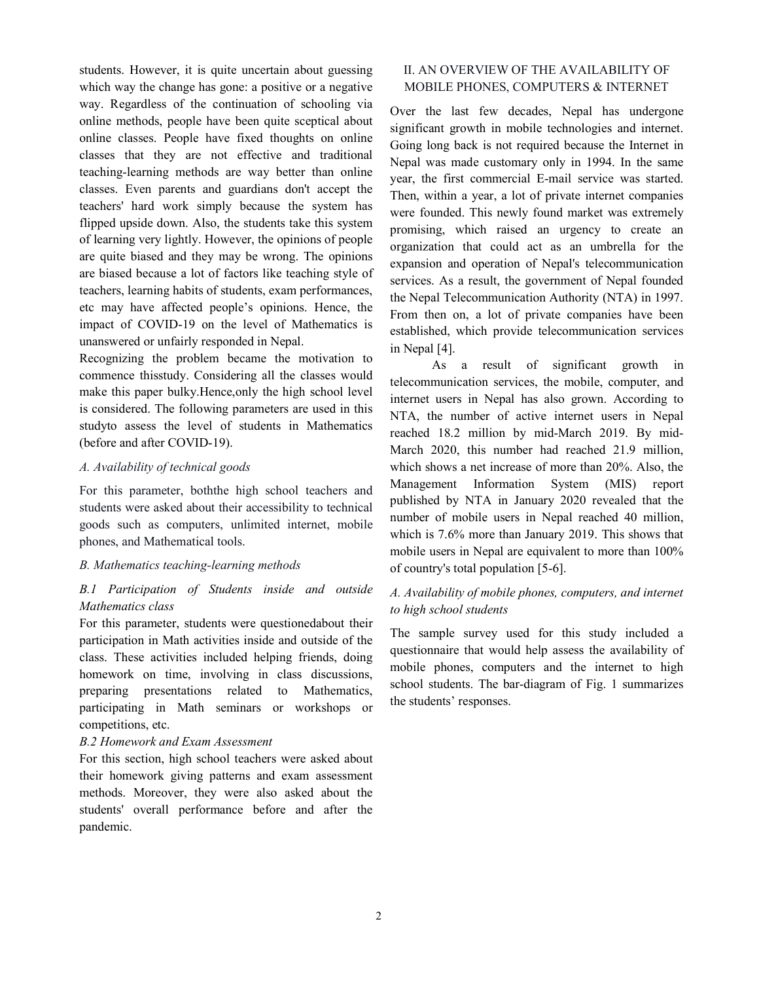students. However, it is quite uncertain about guessing which way the change has gone: a positive or a negative way. Regardless of the continuation of schooling via online methods, people have been quite sceptical about online classes. People have fixed thoughts on online classes that they are not effective and traditional teaching-learning methods are way better than online classes. Even parents and guardians don't accept the teachers' hard work simply because the system has flipped upside down. Also, the students take this system of learning very lightly. However, the opinions of people are quite biased and they may be wrong. The opinions are biased because a lot of factors like teaching style of teachers, learning habits of students, exam performances, etc may have affected people's opinions. Hence, the impact of COVID-19 on the level of Mathematics is unanswered or unfairly responded in Nepal.

Recognizing the problem became the motivation to commence thisstudy. Considering all the classes would make this paper bulky.Hence,only the high school level is considered. The following parameters are used in this studyto assess the level of students in Mathematics (before and after COVID-19).

#### A. Availability of technical goods

For this parameter, boththe high school teachers and students were asked about their accessibility to technical goods such as computers, unlimited internet, mobile phones, and Mathematical tools.

# B. Mathematics teaching-learning methods

# B.1 Participation of Students inside and outside Mathematics class

For this parameter, students were questionedabout their participation in Math activities inside and outside of the class. These activities included helping friends, doing homework on time, involving in class discussions, preparing presentations related to Mathematics, participating in Math seminars or workshops or competitions, etc.

# B.2 Homework and Exam Assessment

For this section, high school teachers were asked about their homework giving patterns and exam assessment methods. Moreover, they were also asked about the students' overall performance before and after the pandemic.

# II. AN OVERVIEW OF THE AVAILABILITY OF MOBILE PHONES, COMPUTERS & INTERNET

Over the last few decades, Nepal has undergone significant growth in mobile technologies and internet. Going long back is not required because the Internet in Nepal was made customary only in 1994. In the same year, the first commercial E-mail service was started. Then, within a year, a lot of private internet companies were founded. This newly found market was extremely promising, which raised an urgency to create an organization that could act as an umbrella for the expansion and operation of Nepal's telecommunication services. As a result, the government of Nepal founded the Nepal Telecommunication Authority (NTA) in 1997. From then on, a lot of private companies have been established, which provide telecommunication services in Nepal [4].

As a result of significant growth in telecommunication services, the mobile, computer, and internet users in Nepal has also grown. According to NTA, the number of active internet users in Nepal reached 18.2 million by mid-March 2019. By mid-March 2020, this number had reached 21.9 million, which shows a net increase of more than 20%. Also, the Management Information System (MIS) report published by NTA in January 2020 revealed that the number of mobile users in Nepal reached 40 million, which is 7.6% more than January 2019. This shows that mobile users in Nepal are equivalent to more than 100% of country's total population [5-6].

# A. Availability of mobile phones, computers, and internet to high school students

The sample survey used for this study included a questionnaire that would help assess the availability of mobile phones, computers and the internet to high school students. The bar-diagram of Fig. 1 summarizes the students' responses.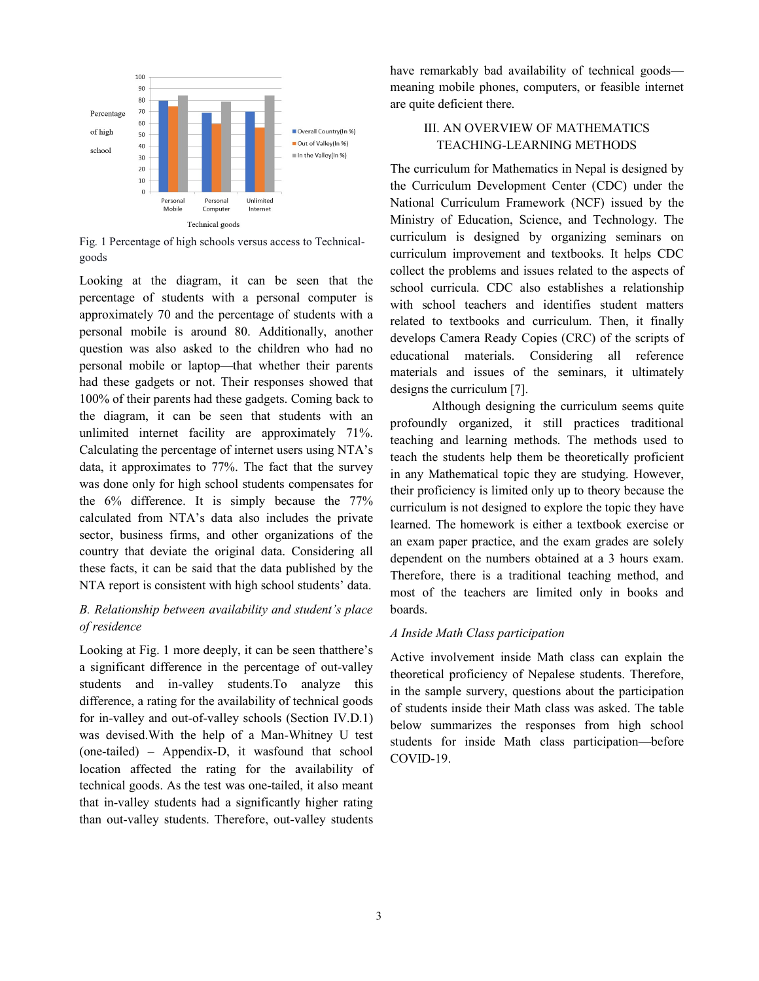

Fig. 1 Percentage of high schools versus access to Technical-<br>curriculum is designed goods

Looking at the diagram, it can be seen that the  $\frac{1}{2}$  subset arrival percentage of students with a personal computer is approximately 70 and the percentage of students with a  $\frac{1}{2}$  related to tarth personal mobile is around 80. Additionally, another question was also asked to the children who had no personal mobile or laptop—that whether their parents had these gadgets or not. Their responses showed that 100% of their parents had these gadgets. Coming back to the diagram, it can be seen that students with an unlimited internet facility are approximately 71%. Calculating the percentage of internet users using NTA's data, it approximates to 77%. The fact that the survey was done only for high school students compensates for the 6% difference. It is simply because the 77% calculated from NTA's data also includes the private sector, business firms, and other organizations of the ector, business firms, and other organizations of the<br>
country that deviate the original data. Considering all these facts, it can be said that the data published by the NTA report is consistent with high school students' data. Figure 1 is the computer is<br>percentage of students with a<br>d 80. Additionally, another<br>to the children who had no<br>discretional method is these gadgets or not. Their responses showed that<br>
"designs the curri<br>
of their parents had these gadgets. Coming back to<br>
diagram, it can be seen that students with an<br>
mited internet facility are approximately 71%.<br>
ulat valid in the constraint of the constraints of collained by detailed by the significant of the constraints of the significant of the significant of the constraint  $\frac{1}{2}$  and  $\frac{1}{2}$  and  $\frac{1}{2}$  and  $\frac{1}{2}$  and  $\frac$ 

# B. Relationship between availability and student's place boards. of residence

Looking at Fig. 1 more deeply, it can be seen thatthere's a stive involvement a significant difference in the percentage of out-valley  $\frac{1}{100}$  theoretical mass students and in-valley students. To analyze this  $\frac{1}{2}$  the sample survey difference, a rating for the availability of technical goods for in-valley and out-of-valley schools (Section IV.D.1) below summarized to was devised.With the help of a Man-Whitney U test (one-tailed) – Appendix-D, it wasfound location affected the rating for the availability of technical goods. As the test was one-tailed, it also meant that in-valley students had a significantly higher rating than out-valley students. Therefore, out-valley students for the availability of technical goods<br>att-of-valley schools (Section IV.D.1) of students inside<br>the help of a Man-Whitney U test<br>below summari<br>students for in<br>endix-D, it wasfound that school COVID-10.

meaning mobile phones, computers, computers, or feasible internet are quite deficient there. have remarkably bad availability of technical goods—

# III. AN OVERVIEW OF MATHEMATICS TEACHING-LEARNING METHODS

The curriculum for Mathematics in Nepal is designed by the Curriculum Development Center (CDC) under the National Curriculum Framework (NCF) issued by Ministry of Education, Science, and Technology. The curriculum is designed by organizing seminars on curriculum improvement and textbooks. It helps CDC collect the problems and issues related to the aspects of school curricula. CDC also establishes a with school teachers and identifies student matters related to textbooks and curriculum. Then, it finally develops Camera Ready Copies (CRC) of the scripts of educational materials. Considering all reference materials and issues of the seminars, it ultimately designs the curriculum [7]. III. AN OVERVIEW OF MATHEMATICS<br>
TEACHING-LEARNING METHODS<br>
The curriculum for Mathematics in Nepal is designed by<br>
the Curriculum Development Center (CDC) under the<br>
National Curriculum Framework (NCF) issued by the Ministry of Education, Science, and Technology. The<br>curriculum is designed by organizing seminars on<br>curriculum improvement and textbooks. It helps CDC<br>collect the problems and issues related to the aspects of<br>school curri related to textbooks and curriculum. Then, it finally<br>develops Camera Ready Copies (CRC) of the scripts of<br>educational materials. Considering all reference<br>materials and issues of the seminars, it ultimately

by the Therefore, there is a traditional teaching method, and<br>data. Although designing the curriculum seems quite profoundly organized, it still practices traditional teaching and learning methods. The methods used to teach the students help them be theoretically proficient in any Mathematical topic they are studying. However, their proficiency is limited only up to theory because the curriculum is not designed to explore the topic they have learned. The homework is either a textbook exercise or an exam paper practice, and the exam grades are solely dependent on the numbers obtained at a 3 hours exam. most of the teachers are limited only in books and boards. Although designing the curriculum seems quite<br>profoundly organized, it still practices traditional<br>teaching and learning methods. The methods used to<br>teach the students help them be theoretically proficient<br>in any Mathemat on the numbers obtained at a 3 hours exam.<br>
there is a traditional teaching method, and<br>
e teachers are limited only in books and<br> *ath Class participation*<br>
olvement inside Math class can explain the<br>
proficiency of Nepal

# A Inside Math Class participation

Active involvement inside Math class can explain the theoretical proficiency of Nepalese students. Therefore, in the sample survery, questions about the participation of students inside their Math class was asked. The table below summarizes the responses from high school students for inside Math class participation—before COVID-19.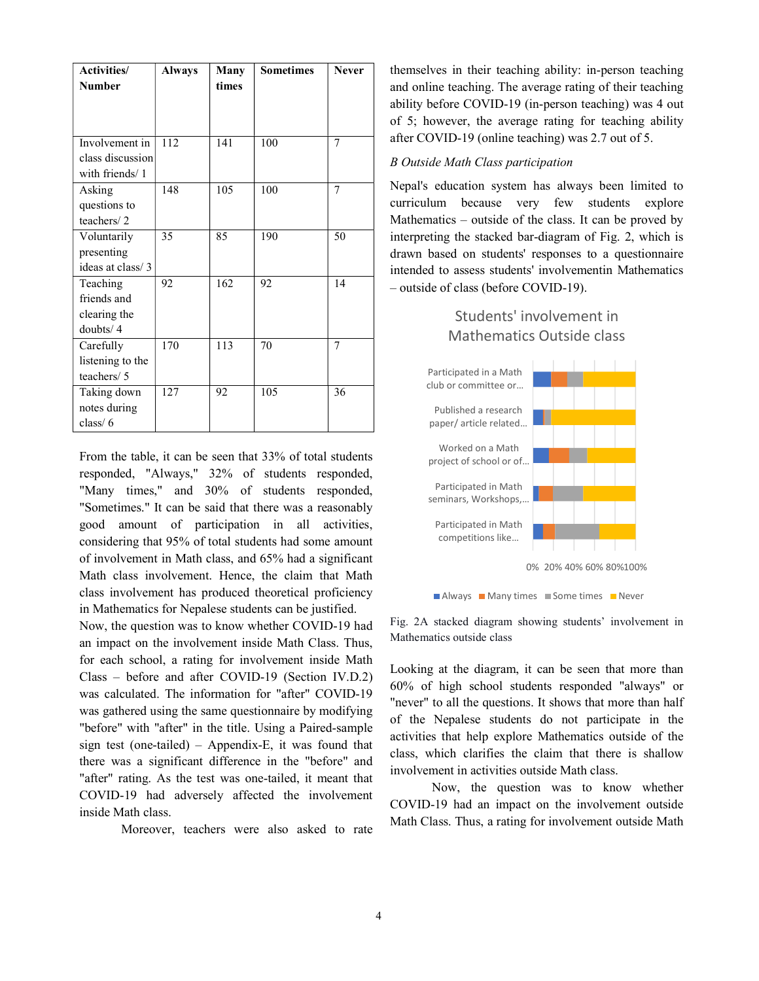| <b>Activities</b> / | <b>Always</b> | <b>Many</b> | <b>Sometimes</b> | <b>Never</b> |
|---------------------|---------------|-------------|------------------|--------------|
| <b>Number</b>       |               | times       |                  |              |
|                     |               |             |                  |              |
|                     |               |             |                  |              |
| Involvement in      |               |             |                  | 7            |
|                     | 112           | 141         | 100              |              |
| class discussion    |               |             |                  |              |
| with friends/1      |               |             |                  |              |
| Asking              | 148           | 105         | 100              | 7            |
| questions to        |               |             |                  |              |
| teachers/2          |               |             |                  |              |
| Voluntarily         | 35            | 85          | 190              | 50           |
| presenting          |               |             |                  |              |
| ideas at class/3    |               |             |                  |              |
| Teaching            | 92            | 162         | 92               | 14           |
| friends and         |               |             |                  |              |
| clearing the        |               |             |                  |              |
| doubts/4            |               |             |                  |              |
| Carefully           | 170           | 113         | 70               | 7            |
| listening to the    |               |             |                  |              |
| teachers/ 5         |               |             |                  |              |
| Taking down         | 127           | 92          | 105              | 36           |
| notes during        |               |             |                  |              |
| class $/ 6$         |               |             |                  |              |

From the table, it can be seen that 33% of total students responded, "Always," 32% of students responded, "Many times," and 30% of students responded, "Sometimes." It can be said that there was a reasonably good amount of participation in all activities, considering that 95% of total students had some amount of involvement in Math class, and 65% had a significant Math class involvement. Hence, the claim that Math class involvement has produced theoretical proficiency in Mathematics for Nepalese students can be justified.

Now, the question was to know whether COVID-19 had an impact on the involvement inside Math Class. Thus, for each school, a rating for involvement inside Math Class – before and after COVID-19 (Section IV.D.2) was calculated. The information for "after" COVID-19 was gathered using the same questionnaire by modifying "before" with "after" in the title. Using a Paired-sample sign test (one-tailed) – Appendix-E, it was found that there was a significant difference in the "before" and "after" rating. As the test was one-tailed, it meant that COVID-19 had adversely affected the involvement inside Math class.

Moreover, teachers were also asked to rate

themselves in their teaching ability: in-person teaching and online teaching. The average rating of their teaching ability before COVID-19 (in-person teaching) was 4 out of 5; however, the average rating for teaching ability after COVID-19 (online teaching) was 2.7 out of 5.

#### B Outside Math Class participation

Nepal's education system has always been limited to curriculum because very few students explore Mathematics – outside of the class. It can be proved by interpreting the stacked bar-diagram of Fig. 2, which is drawn based on students' responses to a questionnaire intended to assess students' involvementin Mathematics – outside of class (before COVID-19).

# Students' involvement in Mathematics Outside class



**National Many times Network** Some times **Never** 

Fig. 2A stacked diagram showing students' involvement in Mathematics outside class

Looking at the diagram, it can be seen that more than 60% of high school students responded "always" or "never" to all the questions. It shows that more than half of the Nepalese students do not participate in the activities that help explore Mathematics outside of the class, which clarifies the claim that there is shallow involvement in activities outside Math class.

Now, the question was to know whether COVID-19 had an impact on the involvement outside Math Class. Thus, a rating for involvement outside Math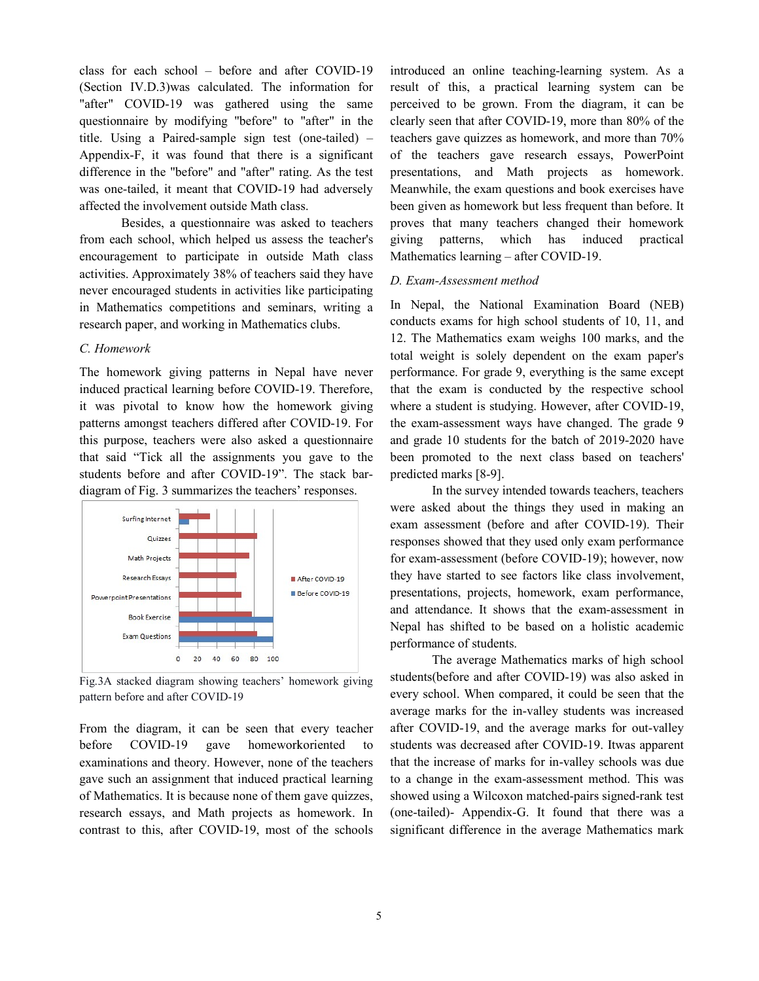class for each school – before and after COVID (Section IV.D.3)was calculated. The information for "after" COVID-19 was gathered using the same perceived to be questionnaire by modifying "before" to "after" in the title. Using a Paired-sample sign test (one-tailed) – Appendix-F, it was found that there is a significant difference in the "before" and "after" rating. As the test presentations,<br>was one-tailed, it meant that COVID-19 had adversely Meanwhile, the<br>affected the involvement outside Math class. been given as ho<br>Besides, a questio was one-tailed, it meant that COVID-19 had adversely affected the involvement outside Math class. (Section IV.D.3)was calculated. The information for result of this, "after" COVID-19 was gathered using the same perceived to be questionnaire by modifying "before" to "after" in the clearly seen that title. Using a Paired

Besides, a questionnaire was asked to teachers from each school, which helped us assess the teacher's giving patterns, encouragement to participate in outside Math class activities. Approximately 38% of teachers said they have never encouraged students in activities like participating in Mathematics competitions and seminars, writing a research paper, and working in Mathematics clubs. each school, which helped us assess the teacher's giving pattern<br>ragement to participate in outside Math class Mathematics lea<br>ies. Approximately 38% of teachers said they have<br>encouraged students in activities like partic

# C. Homework

The homework giving patterns in Nepal have never induced practical learning before COVID-19. Therefore, it was pivotal to know how the homework giving it was pivotal to know how the homework giving where a student is studying. However, after patterns amongst teachers differed after COVID-19. For the exam-assessment ways have changed. this purpose, teachers were also asked a questionnaire that said "Tick all the assignments you gave to the been promoted to the students before and after COVID-19". The stack bar- predicted marks [8-9]. students before and after COVID-19". The stack bar diagram of Fig. 3 summarizes the teachers' responses.



Fig.3A stacked diagram showing teachers' homework giving pattern before and after COVID-19

From the diagram, it can be seen that every teacher before COVID-19 gave homeworkoriented examinations and theory. However, none of the teachers gave such an assignment that induced practical learning of Mathematics. It is because none of them gave quizzes, research essays, and Math projects as homework. In contrast to this, after COVID-19, most of the schools

introduced an online teaching-learning system. As a In schedule and of the duced because and of the schedule because and of the duced because and of the duced because and of the schedule and of the schedule and of the schedule and of the introduced and of the introduced and result of this, a practical learning system can be introduced an online teaching-learning system. As a<br>result of this, a practical learning system can be<br>perceived to be grown. From the diagram, it can be clearly seen that after COVID-19, more than 80% of the teachers gave quizzes as homework, and more than 70% of the teachers gave research essays, PowerPoint presentations, and Math projects as homework. Meanwhile, the exam questions and book exercises have been given as homework but less frequent than before. It proves that many teachers changed their homework which has induced practical Mathematics learning – after COVID-19. clearly seen that after COVID-19, more than 80% of the<br>teachers gave quizzes as homework, and more than 70%<br>of the teachers gave research essays, PowerPoint<br>presentations, and Math projects as homework.<br>Meanwhile, the exam

#### D. Exam-Assessment method

Mathematics clubs. conducts exams<br>12. The Mathen<br>total weight is<br>ns in Nepal have never performance. Fore COVID-19. Therefore, that the exam In Nepal, the National Examination Board (NEB) conducts exams for high school students of 10, 11, and 12. The Mathematics exam weighs 100 marks, and the total weight is solely dependent on the exam paper's performance. For grade 9, everything is the same except that the exam is conducted by the respective school where a student is studying. However, after COVID-19, the exam-assessment ways have changed. The grade 9 and grade 10 students for the batch of 2019-2020 have and grade 10 students for the batch of 2019-2020 have been promoted to the next class based on teachers' predicted marks [8-9]. Nepal, the National Examination Board (NEB)<br>ducts exams for high school students of 10, 11, and<br>The Mathematics exam weighs 100 marks, and the<br>l weight is solely dependent on the exam paper's<br>ormance. For grade 9, everythi

> In the survey intended towards teachers, teachers were asked about the things they used in making an In the survey intended towards teachers, teachers<br>were asked about the things they used in making an<br>exam assessment (before and after COVID-19). Their responses showed that they used only exam performance responses showed that they used only exam performance<br>for exam-assessment (before COVID-19); however, now they have started to see factors like class involvement, presentations, projects, homework, exam performance, presentations, projects, homework, exam performance,<br>and attendance. It shows that the exam-assessment in Nepal has shifted to be based on a holistic academic performance of students.

The average Mathematics marks of high school<br>(before and after COVID-19) was also asked in students(before and after COVID-19) was also asked in every school. When compared, it could be seen that the average marks for the in-valley students was increased average marks for the in-valley students was increased<br>after COVID-19, and the average marks for out-valley students was decreased after COVID-19. Itwas apparent that the increase of marks for in-valley schools was due<br>to a change in the exam-assessment method. This was to a change in the exam-assessment method. showed using a Wilcoxon matched-pairs signed-rank test (one-tailed)- Appendix-G. It found that there was a significant difference in the average Mathematics mark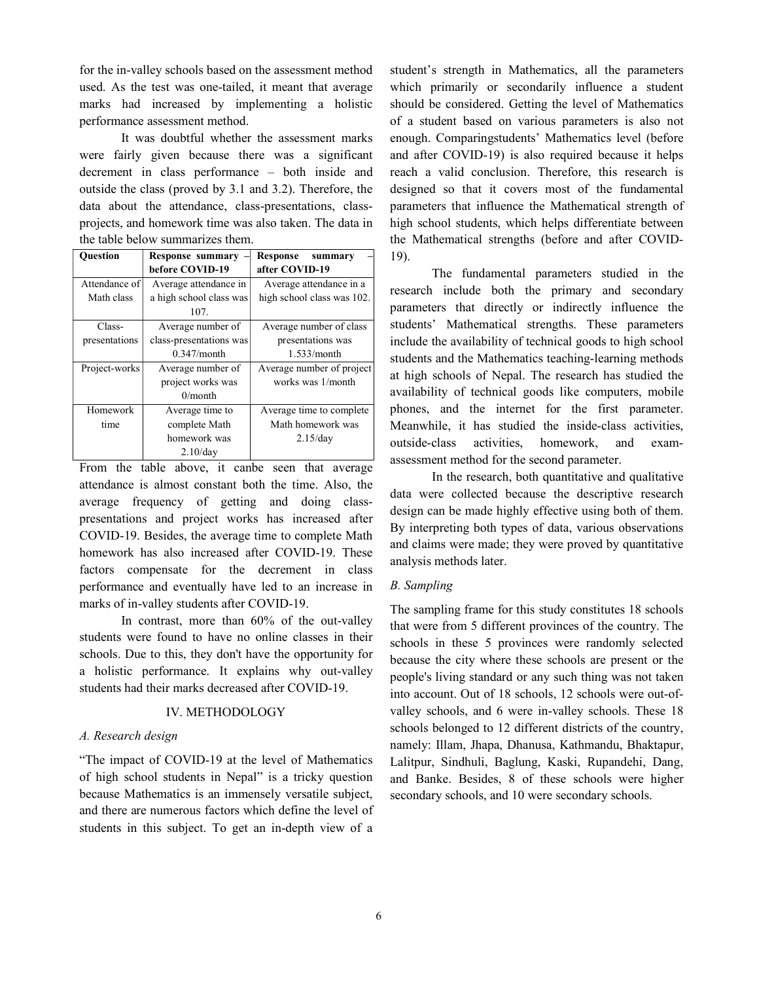for the in-valley schools based on the assessment method used. As the test was one-tailed, it meant that average marks had increased by implementing a holistic performance assessment method.

It was doubtful whether the assessment marks were fairly given because there was a significant decrement in class performance – both inside and outside the class (proved by 3.1 and 3.2). Therefore, the data about the attendance, class-presentations, classprojects, and homework time was also taken. The data in the table below summarizes them.

| <b>Ouestion</b> | <b>Response summary</b> | Response<br>summary        |  |
|-----------------|-------------------------|----------------------------|--|
|                 | before COVID-19         | after COVID-19             |  |
| Attendance of   | Average attendance in   | Average attendance in a    |  |
| Math class      | a high school class was | high school class was 102. |  |
|                 | 107.                    |                            |  |
| Class-          | Average number of       | Average number of class    |  |
| presentations   | class-presentations was | presentations was          |  |
|                 | $0.347$ /month          | 1.533/month                |  |
| Project-works   | Average number of       | Average number of project  |  |
|                 | project works was       | works was 1/month          |  |
|                 | $0/m$ onth              |                            |  |
| Homework        | Average time to         | Average time to complete   |  |
| time            | complete Math           | Math homework was          |  |
|                 | homework was            | 2.15/day                   |  |
|                 | $2.10$ /day             |                            |  |

From the table above, it canbe seen that average attendance is almost constant both the time. Also, the average frequency of getting and doing classpresentations and project works has increased after COVID-19. Besides, the average time to complete Math homework has also increased after COVID-19. These factors compensate for the decrement in class performance and eventually have led to an increase in marks of in-valley students after COVID-19.

In contrast, more than 60% of the out-valley students were found to have no online classes in their schools. Due to this, they don't have the opportunity for a holistic performance. It explains why out-valley students had their marks decreased after COVID-19.

#### IV. METHODOLOGY

# A. Research design

"The impact of COVID-19 at the level of Mathematics of high school students in Nepal" is a tricky question because Mathematics is an immensely versatile subject, and there are numerous factors which define the level of students in this subject. To get an in-depth view of a student's strength in Mathematics, all the parameters which primarily or secondarily influence a student should be considered. Getting the level of Mathematics of a student based on various parameters is also not enough. Comparingstudents' Mathematics level (before and after COVID-19) is also required because it helps reach a valid conclusion. Therefore, this research is designed so that it covers most of the fundamental parameters that influence the Mathematical strength of high school students, which helps differentiate between the Mathematical strengths (before and after COVID-19).

The fundamental parameters studied in the research include both the primary and secondary parameters that directly or indirectly influence the students' Mathematical strengths. These parameters include the availability of technical goods to high school students and the Mathematics teaching-learning methods at high schools of Nepal. The research has studied the availability of technical goods like computers, mobile phones, and the internet for the first parameter. Meanwhile, it has studied the inside-class activities, outside-class activities, homework, and examassessment method for the second parameter.

In the research, both quantitative and qualitative data were collected because the descriptive research design can be made highly effective using both of them. By interpreting both types of data, various observations and claims were made; they were proved by quantitative analysis methods later.

# B. Sampling

The sampling frame for this study constitutes 18 schools that were from 5 different provinces of the country. The schools in these 5 provinces were randomly selected because the city where these schools are present or the people's living standard or any such thing was not taken into account. Out of 18 schools, 12 schools were out-ofvalley schools, and 6 were in-valley schools. These 18 schools belonged to 12 different districts of the country, namely: Illam, Jhapa, Dhanusa, Kathmandu, Bhaktapur, Lalitpur, Sindhuli, Baglung, Kaski, Rupandehi, Dang, and Banke. Besides, 8 of these schools were higher secondary schools, and 10 were secondary schools.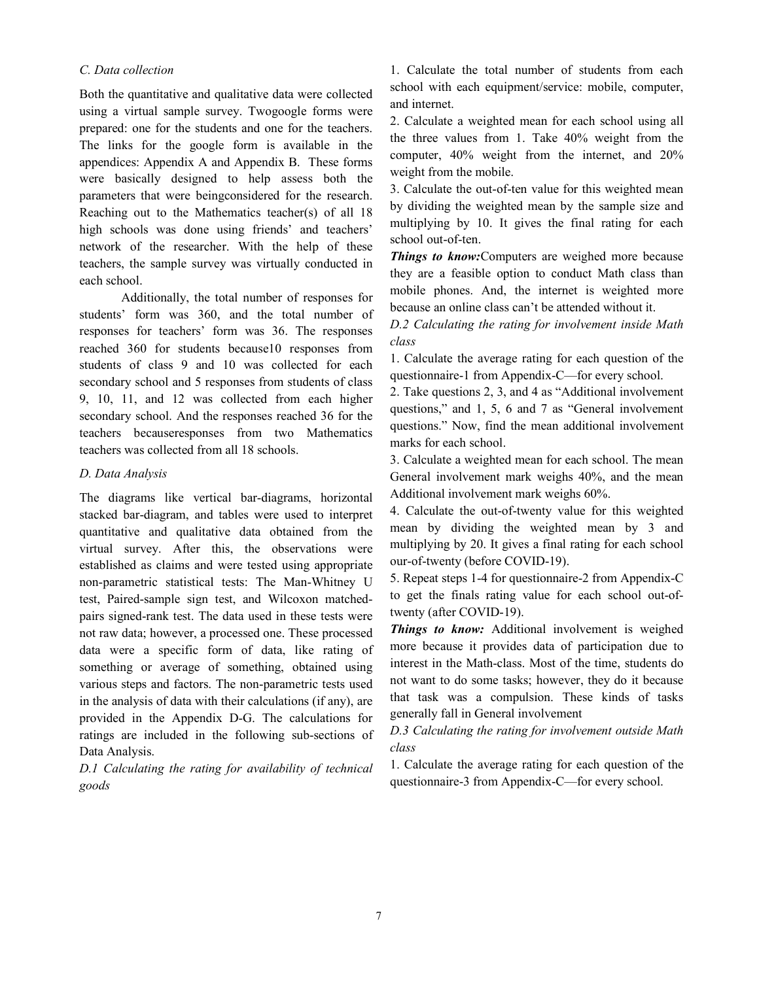## C. Data collection

Both the quantitative and qualitative data were collected using a virtual sample survey. Twogoogle forms were prepared: one for the students and one for the teachers. The links for the google form is available in the appendices: Appendix A and Appendix B. These forms were basically designed to help assess both the parameters that were beingconsidered for the research. Reaching out to the Mathematics teacher(s) of all 18 high schools was done using friends' and teachers' network of the researcher. With the help of these teachers, the sample survey was virtually conducted in each school.

Additionally, the total number of responses for students' form was 360, and the total number of responses for teachers' form was 36. The responses reached 360 for students because10 responses from students of class 9 and 10 was collected for each secondary school and 5 responses from students of class 9, 10, 11, and 12 was collected from each higher secondary school. And the responses reached 36 for the teachers becauseresponses from two Mathematics teachers was collected from all 18 schools.

#### D. Data Analysis

The diagrams like vertical bar-diagrams, horizontal stacked bar-diagram, and tables were used to interpret quantitative and qualitative data obtained from the virtual survey. After this, the observations were established as claims and were tested using appropriate non-parametric statistical tests: The Man-Whitney U test, Paired-sample sign test, and Wilcoxon matchedpairs signed-rank test. The data used in these tests were not raw data; however, a processed one. These processed data were a specific form of data, like rating of something or average of something, obtained using various steps and factors. The non-parametric tests used in the analysis of data with their calculations (if any), are provided in the Appendix D-G. The calculations for ratings are included in the following sub-sections of Data Analysis.

D.1 Calculating the rating for availability of technical goods

1. Calculate the total number of students from each school with each equipment/service: mobile, computer, and internet.

2. Calculate a weighted mean for each school using all the three values from 1. Take 40% weight from the computer, 40% weight from the internet, and 20% weight from the mobile.

3. Calculate the out-of-ten value for this weighted mean by dividing the weighted mean by the sample size and multiplying by 10. It gives the final rating for each school out-of-ten.

Things to know: Computers are weighed more because they are a feasible option to conduct Math class than mobile phones. And, the internet is weighted more because an online class can't be attended without it.

D.2 Calculating the rating for involvement inside Math class

1. Calculate the average rating for each question of the questionnaire-1 from Appendix-C—for every school.

2. Take questions 2, 3, and 4 as "Additional involvement questions," and 1, 5, 6 and 7 as "General involvement questions." Now, find the mean additional involvement marks for each school.

3. Calculate a weighted mean for each school. The mean General involvement mark weighs 40%, and the mean Additional involvement mark weighs 60%.

4. Calculate the out-of-twenty value for this weighted mean by dividing the weighted mean by 3 and multiplying by 20. It gives a final rating for each school our-of-twenty (before COVID-19).

5. Repeat steps 1-4 for questionnaire-2 from Appendix-C to get the finals rating value for each school out-oftwenty (after COVID-19).

Things to know: Additional involvement is weighed more because it provides data of participation due to interest in the Math-class. Most of the time, students do not want to do some tasks; however, they do it because that task was a compulsion. These kinds of tasks generally fall in General involvement

D.3 Calculating the rating for involvement outside Math class

1. Calculate the average rating for each question of the questionnaire-3 from Appendix-C—for every school.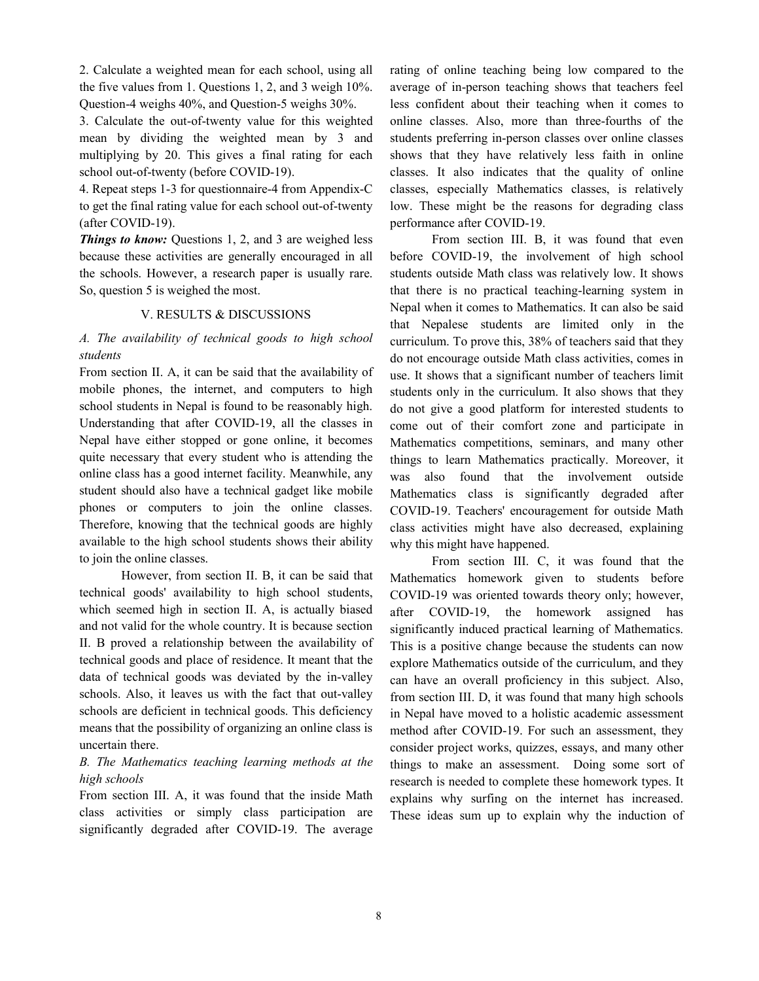2. Calculate a weighted mean for each school, using all the five values from 1. Questions 1, 2, and 3 weigh 10%. Question-4 weighs 40%, and Question-5 weighs 30%.

3. Calculate the out-of-twenty value for this weighted mean by dividing the weighted mean by 3 and multiplying by 20. This gives a final rating for each school out-of-twenty (before COVID-19).

4. Repeat steps 1-3 for questionnaire-4 from Appendix-C to get the final rating value for each school out-of-twenty (after COVID-19).

Things to know: Questions 1, 2, and 3 are weighed less because these activities are generally encouraged in all the schools. However, a research paper is usually rare. So, question 5 is weighed the most.

#### V. RESULTS & DISCUSSIONS

# A. The availability of technical goods to high school students

From section II. A, it can be said that the availability of mobile phones, the internet, and computers to high school students in Nepal is found to be reasonably high. Understanding that after COVID-19, all the classes in Nepal have either stopped or gone online, it becomes quite necessary that every student who is attending the online class has a good internet facility. Meanwhile, any student should also have a technical gadget like mobile phones or computers to join the online classes. Therefore, knowing that the technical goods are highly available to the high school students shows their ability to join the online classes.

However, from section II. B, it can be said that technical goods' availability to high school students, which seemed high in section II. A, is actually biased and not valid for the whole country. It is because section II. B proved a relationship between the availability of technical goods and place of residence. It meant that the data of technical goods was deviated by the in-valley schools. Also, it leaves us with the fact that out-valley schools are deficient in technical goods. This deficiency means that the possibility of organizing an online class is uncertain there.

# B. The Mathematics teaching learning methods at the high schools

From section III. A, it was found that the inside Math class activities or simply class participation are significantly degraded after COVID-19. The average rating of online teaching being low compared to the average of in-person teaching shows that teachers feel less confident about their teaching when it comes to online classes. Also, more than three-fourths of the students preferring in-person classes over online classes shows that they have relatively less faith in online classes. It also indicates that the quality of online classes, especially Mathematics classes, is relatively low. These might be the reasons for degrading class performance after COVID-19.

From section III. B, it was found that even before COVID-19, the involvement of high school students outside Math class was relatively low. It shows that there is no practical teaching-learning system in Nepal when it comes to Mathematics. It can also be said that Nepalese students are limited only in the curriculum. To prove this, 38% of teachers said that they do not encourage outside Math class activities, comes in use. It shows that a significant number of teachers limit students only in the curriculum. It also shows that they do not give a good platform for interested students to come out of their comfort zone and participate in Mathematics competitions, seminars, and many other things to learn Mathematics practically. Moreover, it was also found that the involvement outside Mathematics class is significantly degraded after COVID-19. Teachers' encouragement for outside Math class activities might have also decreased, explaining why this might have happened.

From section III. C, it was found that the Mathematics homework given to students before COVID-19 was oriented towards theory only; however, after COVID-19, the homework assigned has significantly induced practical learning of Mathematics. This is a positive change because the students can now explore Mathematics outside of the curriculum, and they can have an overall proficiency in this subject. Also, from section III. D, it was found that many high schools in Nepal have moved to a holistic academic assessment method after COVID-19. For such an assessment, they consider project works, quizzes, essays, and many other things to make an assessment. Doing some sort of research is needed to complete these homework types. It explains why surfing on the internet has increased. These ideas sum up to explain why the induction of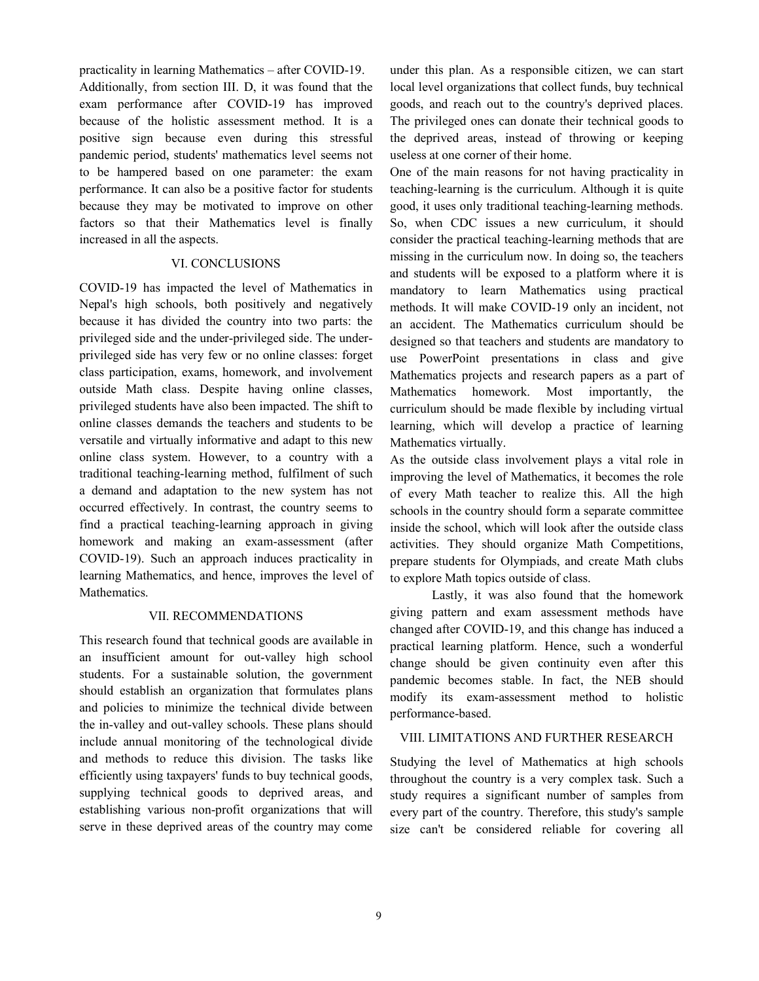practicality in learning Mathematics – after COVID-19. Additionally, from section III. D, it was found that the exam performance after COVID-19 has improved because of the holistic assessment method. It is a positive sign because even during this stressful pandemic period, students' mathematics level seems not to be hampered based on one parameter: the exam performance. It can also be a positive factor for students because they may be motivated to improve on other factors so that their Mathematics level is finally increased in all the aspects.

#### VI. CONCLUSIONS

COVID-19 has impacted the level of Mathematics in Nepal's high schools, both positively and negatively because it has divided the country into two parts: the privileged side and the under-privileged side. The underprivileged side has very few or no online classes: forget class participation, exams, homework, and involvement outside Math class. Despite having online classes, privileged students have also been impacted. The shift to online classes demands the teachers and students to be versatile and virtually informative and adapt to this new online class system. However, to a country with a traditional teaching-learning method, fulfilment of such a demand and adaptation to the new system has not occurred effectively. In contrast, the country seems to find a practical teaching-learning approach in giving homework and making an exam-assessment (after COVID-19). Such an approach induces practicality in learning Mathematics, and hence, improves the level of Mathematics.

#### VII. RECOMMENDATIONS

This research found that technical goods are available in an insufficient amount for out-valley high school students. For a sustainable solution, the government should establish an organization that formulates plans and policies to minimize the technical divide between the in-valley and out-valley schools. These plans should include annual monitoring of the technological divide and methods to reduce this division. The tasks like efficiently using taxpayers' funds to buy technical goods, supplying technical goods to deprived areas, and establishing various non-profit organizations that will serve in these deprived areas of the country may come under this plan. As a responsible citizen, we can start local level organizations that collect funds, buy technical goods, and reach out to the country's deprived places. The privileged ones can donate their technical goods to the deprived areas, instead of throwing or keeping useless at one corner of their home.

One of the main reasons for not having practicality in teaching-learning is the curriculum. Although it is quite good, it uses only traditional teaching-learning methods. So, when CDC issues a new curriculum, it should consider the practical teaching-learning methods that are missing in the curriculum now. In doing so, the teachers and students will be exposed to a platform where it is mandatory to learn Mathematics using practical methods. It will make COVID-19 only an incident, not an accident. The Mathematics curriculum should be designed so that teachers and students are mandatory to use PowerPoint presentations in class and give Mathematics projects and research papers as a part of Mathematics homework. Most importantly, the curriculum should be made flexible by including virtual learning, which will develop a practice of learning Mathematics virtually.

As the outside class involvement plays a vital role in improving the level of Mathematics, it becomes the role of every Math teacher to realize this. All the high schools in the country should form a separate committee inside the school, which will look after the outside class activities. They should organize Math Competitions, prepare students for Olympiads, and create Math clubs to explore Math topics outside of class.

Lastly, it was also found that the homework giving pattern and exam assessment methods have changed after COVID-19, and this change has induced a practical learning platform. Hence, such a wonderful change should be given continuity even after this pandemic becomes stable. In fact, the NEB should modify its exam-assessment method to holistic performance-based.

# VIII. LIMITATIONS AND FURTHER RESEARCH

Studying the level of Mathematics at high schools throughout the country is a very complex task. Such a study requires a significant number of samples from every part of the country. Therefore, this study's sample size can't be considered reliable for covering all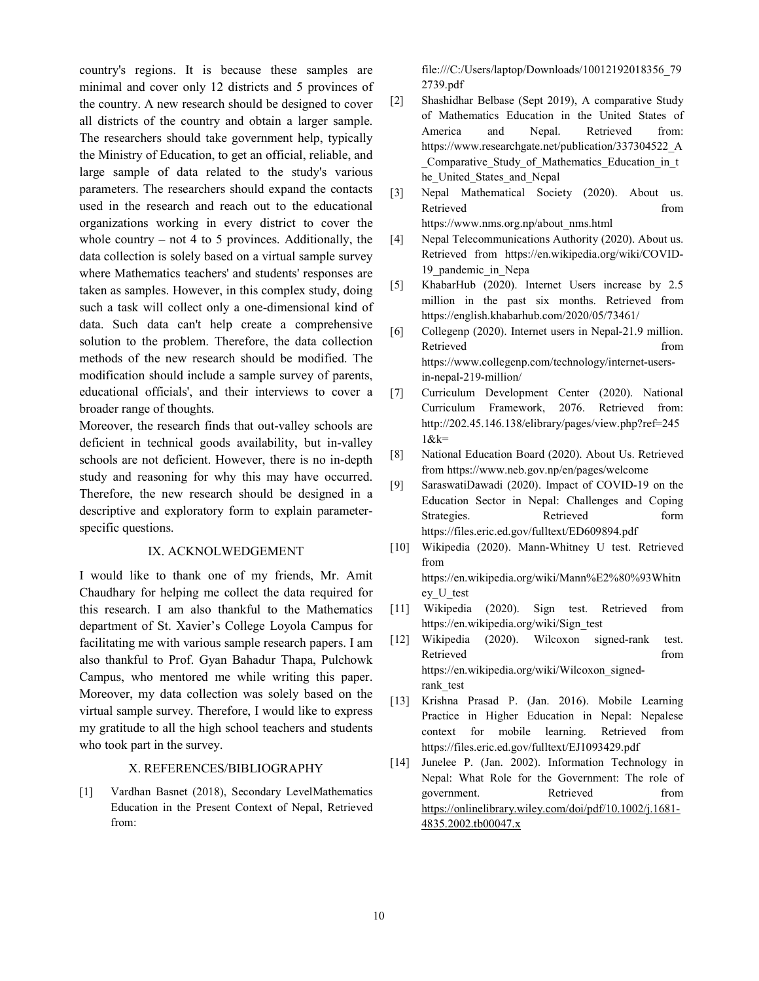country's regions. It is because these samples are minimal and cover only 12 districts and 5 provinces of the country. A new research should be designed to cover all districts of the country and obtain a larger sample. The researchers should take government help, typically the Ministry of Education, to get an official, reliable, and large sample of data related to the study's various parameters. The researchers should expand the contacts used in the research and reach out to the educational organizations working in every district to cover the whole country – not 4 to 5 provinces. Additionally, the data collection is solely based on a virtual sample survey where Mathematics teachers' and students' responses are taken as samples. However, in this complex study, doing such a task will collect only a one-dimensional kind of data. Such data can't help create a comprehensive solution to the problem. Therefore, the data collection methods of the new research should be modified. The modification should include a sample survey of parents, educational officials', and their interviews to cover a broader range of thoughts.

Moreover, the research finds that out-valley schools are deficient in technical goods availability, but in-valley schools are not deficient. However, there is no in-depth study and reasoning for why this may have occurred. Therefore, the new research should be designed in a descriptive and exploratory form to explain parameterspecific questions.

# IX. ACKNOLWEDGEMENT

I would like to thank one of my friends, Mr. Amit Chaudhary for helping me collect the data required for this research. I am also thankful to the Mathematics department of St. Xavier's College Loyola Campus for facilitating me with various sample research papers. I am also thankful to Prof. Gyan Bahadur Thapa, Pulchowk Campus, who mentored me while writing this paper. Moreover, my data collection was solely based on the virtual sample survey. Therefore, I would like to express my gratitude to all the high school teachers and students who took part in the survey.

#### X. REFERENCES/BIBLIOGRAPHY

[1] Vardhan Basnet (2018), Secondary LevelMathematics Education in the Present Context of Nepal, Retrieved from:

file:///C:/Users/laptop/Downloads/10012192018356\_79 2739.pdf

- [2] Shashidhar Belbase (Sept 2019), A comparative Study of Mathematics Education in the United States of America and Nepal. Retrieved from: https://www.researchgate.net/publication/337304522\_A Comparative Study of Mathematics Education in t he United States and Nepal
- [3] Nepal Mathematical Society (2020). About us. Retrieved from the state of  $\sim$ https://www.nms.org.np/about\_nms.html
- [4] Nepal Telecommunications Authority (2020). About us. Retrieved from https://en.wikipedia.org/wiki/COVID-19\_pandemic\_in\_Nepa
- [5] KhabarHub (2020). Internet Users increase by 2.5 million in the past six months. Retrieved from https://english.khabarhub.com/2020/05/73461/
- [6] Collegenp (2020). Internet users in Nepal-21.9 million. Retrieved from the state of  $\sim$ https://www.collegenp.com/technology/internet-usersin-nepal-219-million/
- [7] Curriculum Development Center (2020). National Curriculum Framework, 2076. Retrieved from: http://202.45.146.138/elibrary/pages/view.php?ref=245  $1$ & $k=$
- [8] National Education Board (2020). About Us. Retrieved from https://www.neb.gov.np/en/pages/welcome
- [9] SaraswatiDawadi (2020). Impact of COVID-19 on the Education Sector in Nepal: Challenges and Coping Strategies. Retrieved form https://files.eric.ed.gov/fulltext/ED609894.pdf
- [10] Wikipedia (2020). Mann-Whitney U test. Retrieved from https://en.wikipedia.org/wiki/Mann%E2%80%93Whitn

ey\_U\_test

- [11] Wikipedia (2020). Sign test. Retrieved from https://en.wikipedia.org/wiki/Sign\_test
- [12] Wikipedia (2020). Wilcoxon signed-rank test. Retrieved from the state of  $\sim$ https://en.wikipedia.org/wiki/Wilcoxon\_signedrank\_test
- [13] Krishna Prasad P. (Jan. 2016). Mobile Learning Practice in Higher Education in Nepal: Nepalese context for mobile learning. Retrieved from https://files.eric.ed.gov/fulltext/EJ1093429.pdf
- [14] Junelee P. (Jan. 2002). Information Technology in Nepal: What Role for the Government: The role of government. Retrieved from https://onlinelibrary.wiley.com/doi/pdf/10.1002/j.1681- 4835.2002.tb00047.x